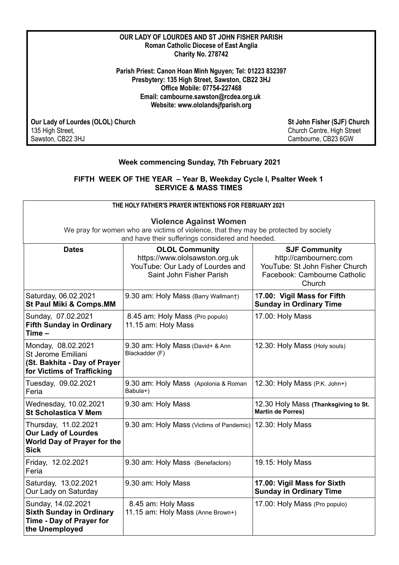### **OUR LADY OF LOURDES AND ST JOHN FISHER PARISH Roman Catholic Diocese of East Anglia Charity No. 278742**

**Parish Priest: Canon Hoan Minh Nguyen; Tel: 01223 832397 Presbytery: 135 High Street, Sawston, CB22 3HJ Office Mobile: 07754-227468 Email: cambourne.sawston@rcdea.org.uk Website: www.ololandsjfparish.org**

**135 High Street, COLOR Church Courdes (OLOL) Church St John Fisher (SJF) Church St John Fisher (SJF) Church St John Street** 135 High Street, and the Church Centre, High Street Sawston. CB23 6GW and Church Centre, High Street Sawston. CB23 6GW

Cambourne, CB23 6GW

# **Week commencing Sunday, 7th February 2021**

### **FIFTH WEEK OF THE YEAR – Year B, Weekday Cycle I, Psalter Week 1 SERVICE & MASS TIMES**

| THE HOLY FATHER'S PRAYER INTENTIONS FOR FEBRUARY 2021                                                                                                                     |                                                                                                                         |                                                                                                                            |
|---------------------------------------------------------------------------------------------------------------------------------------------------------------------------|-------------------------------------------------------------------------------------------------------------------------|----------------------------------------------------------------------------------------------------------------------------|
| <b>Violence Against Women</b><br>We pray for women who are victims of violence, that they may be protected by society<br>and have their sufferings considered and heeded. |                                                                                                                         |                                                                                                                            |
| <b>Dates</b>                                                                                                                                                              | <b>OLOL Community</b><br>https://www.ololsawston.org.uk<br>YouTube: Our Lady of Lourdes and<br>Saint John Fisher Parish | <b>SJF Community</b><br>http://cambournerc.com<br>YouTube: St John Fisher Church<br>Facebook: Cambourne Catholic<br>Church |
| Saturday, 06.02.2021<br><b>St Paul Miki &amp; Comps.MM</b>                                                                                                                | 9.30 am: Holy Mass (Barry Wallmant)                                                                                     | 17.00: Vigil Mass for Fifth<br><b>Sunday in Ordinary Time</b>                                                              |
| Sunday, 07.02.2021<br><b>Fifth Sunday in Ordinary</b><br>Time-                                                                                                            | 8.45 am: Holy Mass (Pro populo)<br>11.15 am: Holy Mass                                                                  | 17.00: Holy Mass                                                                                                           |
| Monday, 08.02.2021<br>St Jerome Emiliani<br>(St. Bakhita - Day of Prayer<br>for Victims of Trafficking                                                                    | 9.30 am: Holy Mass (David+ & Ann<br>Blackadder (F)                                                                      | 12.30: Holy Mass (Holy souls)                                                                                              |
| Tuesday, 09.02.2021<br>Feria                                                                                                                                              | 9.30 am: Holy Mass (Apolonia & Roman<br>Babula+)                                                                        | 12.30: Holy Mass (P.K. John+)                                                                                              |
| Wednesday, 10.02.2021<br><b>St Scholastica V Mem</b>                                                                                                                      | 9.30 am: Holy Mass                                                                                                      | 12.30 Holy Mass (Thanksgiving to St.<br><b>Martin de Porres)</b>                                                           |
| Thursday, 11.02.2021<br><b>Our Lady of Lourdes</b><br>World Day of Prayer for the<br><b>Sick</b>                                                                          | 9.30 am: Holy Mass (Victims of Pandemic)                                                                                | 12.30: Holy Mass                                                                                                           |
| Friday, 12.02.2021<br>Feria                                                                                                                                               | 9.30 am: Holy Mass (Benefactors)                                                                                        | 19.15: Holy Mass                                                                                                           |
| Saturday, 13.02.2021<br>Our Lady on Saturday                                                                                                                              | 9.30 am: Holy Mass                                                                                                      | 17.00: Vigil Mass for Sixth<br><b>Sunday in Ordinary Time</b>                                                              |
| Sunday, 14.02.2021<br><b>Sixth Sunday in Ordinary</b><br>Time - Day of Prayer for<br>the Unemployed                                                                       | 8.45 am: Holy Mass<br>11.15 am: Holy Mass (Anne Brown+)                                                                 | 17.00: Holy Mass (Pro populo)                                                                                              |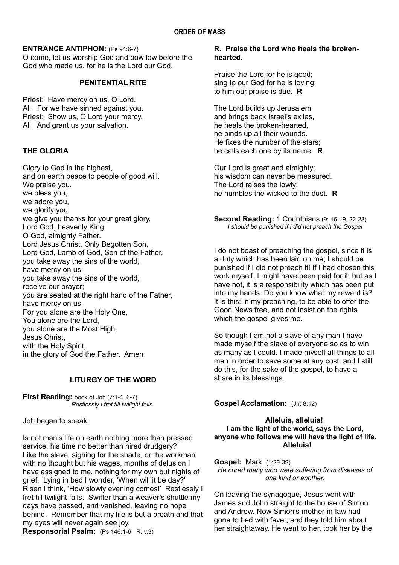**ENTRANCE ANTIPHON:** (Ps 94:6-7) O come, let us worship God and bow low before the God who made us, for he is the Lord our God.

### **PENITENTIAL RITE**

Priest: Have mercy on us, O Lord. All: For we have sinned against you. Priest: Show us, O Lord your mercy. All:And grant us your salvation.

# **THE GLORIA**

Glory to God in the highest, and on earth peace to people of good will. We praise you, we bless you, we adore you, we glorify you, we give you thanks for your great glory, Lord God, heavenly King, O God, almighty Father. Lord Jesus Christ, Only Begotten Son, Lord God, Lamb of God, Son of the Father, you take away the sins of the world, have mercy on us; you take away the sins of the world, receive our prayer; you are seated at the right hand of the Father, have mercy on us. For you alone are the Holy One, You alone are the Lord, you alone are the Most High, Jesus Christ, with the Holy Spirit, in the glory of God the Father. Amen

# **LITURGY OF THE WORD**

**First Reading:** book of Job (7:1-4, 6-7) *Restlessly I fret till twilight falls.*

Job began to speak:

Is not man's life on earth nothing more than pressed service, his time no better than hired drudgery? Like the slave, sighing for the shade, or the workman with no thought but his wages, months of delusion I have assigned to me, nothing for my own but nights of grief. Lying in bed I wonder, 'When will it be day?' Risen I think, 'How slowly evening comes!' Restlessly I fret till twilight falls. Swifter than a weaver's shuttle my days have passed, and vanished, leaving no hope behind. Remember that my life is but a breath,and that my eyes will never again see joy.

**Responsorial Psalm:** (Ps 146:1-6. R. v.3)

# **R. Praise the Lord who heals the brokenhearted.**

Praise the Lord for he is good; sing to our God for he is loving: to him our praise is due. **R**

The Lord builds up Jerusalem and brings back Israel's exiles, he heals the broken-hearted, he binds up all their wounds. He fixes the number of the stars; he calls each one by its name. **R**

Our Lord is great and almighty; his wisdom can never be measured. The Lord raises the lowly; he humbles the wicked to the dust. **R**

**Second Reading:** 1 Corinthians (9: 16-19, 22-23) *I should be punished if I did not preach the Gospel*

I do not boast of preaching the gospel, since it is a duty which has been laid on me; I should be punished if I did not preach it! If I had chosen this work myself, I might have been paid for it, but as I have not, it is a responsibility which has been put into my hands. Do you know what my reward is? It is this: in my preaching, to be able to offer the Good News free, and not insist on the rights which the gospel gives me.

So though I am not a slave of any man I have made myself the slave of everyone so as to win as many as I could. I made myself all things to all men in order to save some at any cost; and I still do this, for the sake of the gospel, to have a share in its blessings.

**Gospel Acclamation:** (Jn: 8:12)

### **Alleluia, alleluia! I am the light of the world, says the Lord, anyone who follows me will have the light of life. Alleluia!**

**Gospel:** Mark(1:29-39) *He cured many who were suffering from diseases of one kind or another.*

On leaving the synagogue, Jesus went with James and John straight to the house of Simon and Andrew. Now Simon's mother-in-law had gone to bed with fever, and they told him about her straightaway. He went to her, took her by the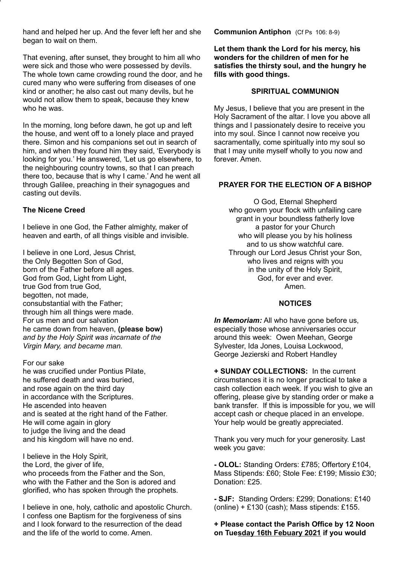hand and helped her up. And the fever left her and she began to wait on them.

That evening, after sunset, they brought to him all who were sick and those who were possessed by devils. The whole town came crowding round the door, and he cured many who were suffering from diseases of one kind or another; he also cast out many devils, but he would not allow them to speak, because they knew who he was.

In the morning, long before dawn, he got up and left the house, and went off to a lonely place and prayed there. Simon and his companions set out in search of him, and when they found him they said, 'Everybody is looking for you.' He answered, 'Let us go elsewhere, to the neighbouring country towns, so that I can preach there too, because that is why I came.' And he went all through Galilee, preaching in their synagogues and casting out devils.

# **The Nicene Creed**

I believe in one God, the Father almighty, maker of heaven and earth, of all things visible and invisible.

I believe in one Lord, Jesus Christ, the Only Begotten Son of God, born of the Father before all ages. God from God, Light from Light, true God from true God, begotten, not made, consubstantial with the Father; through him all things were made. For us men and our salvation he came down from heaven, **(please bow)** *and by the Holy Spirit was incarnate of the Virgin Mary, and became man.*

#### For our sake

he was crucified under Pontius Pilate, he suffered death and was buried, and rose again on the third day in accordance with the Scriptures. He ascended into heaven and is seated at the right hand of the Father. He will come again in glory to judge the living and the dead and his kingdom will have no end.

I believe in the Holy Spirit, the Lord, the giver of life, who proceeds from the Father and the Son, who with the Father and the Son is adored and glorified, who has spoken through the prophets.

I believe in one, holy, catholic and apostolic Church. I confess one Baptism for the forgiveness of sins and I look forward to the resurrection of the dead and the life of the world to come. Amen.

**Communion Antiphon** (Cf Ps 106: 8-9)

**Let them thank the Lord for his mercy, his wonders for the children of men for he satisfies the thirsty soul, and the hungry he fills with good things.**

#### **SPIRITUAL COMMUNION**

My Jesus, I believe that you are present in the Holy Sacrament of the altar. I love you above all things and I passionately desire to receive you into my soul. Since I cannot now receive you sacramentally, come spiritually into my soul so that I may unite myself wholly to you now and forever. Amen.

### **PRAYER FOR THE ELECTION OF A BISHOP**

O God, Eternal Shepherd who govern your flock with unfailing care grant in your boundless fatherly love a pastor for your Church who will please you by his holiness and to us show watchful care. Through our Lord Jesus Christ your Son, who lives and reigns with you in the unity of the Holy Spirit, God, for ever and ever. Amen.

#### **NOTICES**

*In Memoriam:* All who have gone before us, especially those whose anniversaries occur around this week: Owen Meehan, George Sylvester, Ida Jones, Louisa Lockwood, George Jezierski and Robert Handley

**+ SUNDAY COLLECTIONS:** In the current circumstances it is no longer practical to take a cash collection each week. If you wish to give an offering, please give by standing order or make a bank transfer. If this is impossible for you, we will accept cash or cheque placed in an envelope. Your help would be greatly appreciated.

Thank you very much for your generosity. Last week you gave:

**- OLOL:** Standing Orders: £785; Offertory £104, Mass Stipends: £60; Stole Fee: £199; Missio £30; Donation: £25

**- SJF:** Standing Orders: £299; Donations: £140 (online) + £130 (cash); Mass stipends: £155.

### **+ Please contact the Parish Office by 12 Noon on Tuesday 16th Febuary 2021 if you would**